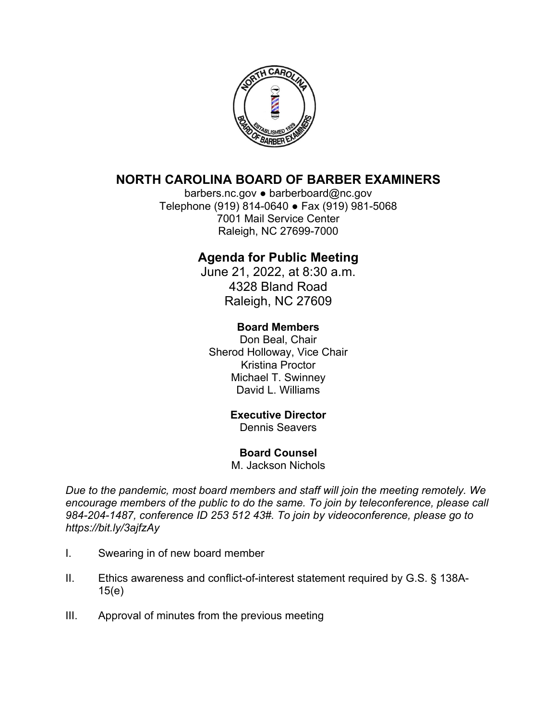

# **NORTH CAROLINA BOARD OF BARBER EXAMINERS**

barbers.nc.gov ● barberboard@nc.gov Telephone (919) 814-0640 ● Fax (919) 981-5068 7001 Mail Service Center Raleigh, NC 27699-7000

# **Agenda for Public Meeting**

June 21, 2022, at 8:30 a.m. 4328 Bland Road Raleigh, NC 27609

### **Board Members**

Don Beal, Chair Sherod Holloway, Vice Chair Kristina Proctor Michael T. Swinney David L. Williams

### **Executive Director**

Dennis Seavers

### **Board Counsel**

M. Jackson Nichols

*Due to the pandemic, most board members and staff will join the meeting remotely. We encourage members of the public to do the same. To join by teleconference, please call 984-204-1487, conference ID 253 512 43#. To join by videoconference, please go to https://bit.ly/3ajfzAy* 

- I. Swearing in of new board member
- II. Ethics awareness and conflict-of-interest statement required by G.S. § 138A-15(e)
- III. Approval of minutes from the previous meeting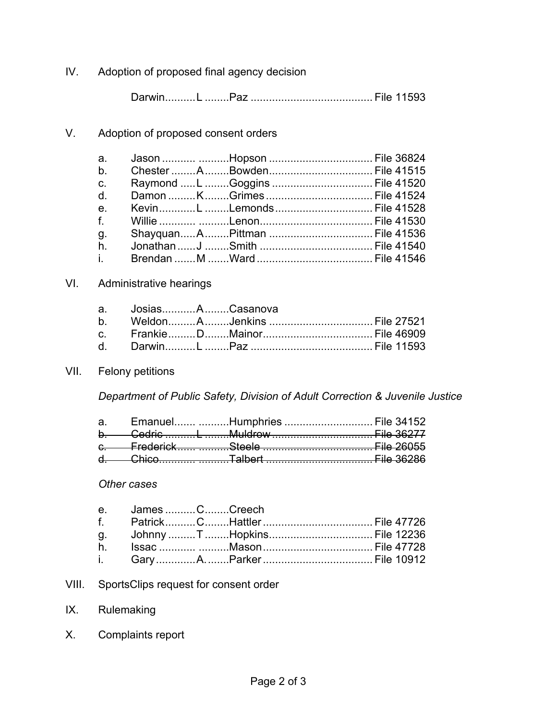IV. Adoption of proposed final agency decision

Darwin .......... L ........Paz ........................................ File 11593

V. Adoption of proposed consent orders

| $b_{\rm}$      |  |                               |  |
|----------------|--|-------------------------------|--|
| $C_{1}$        |  | Raymond L Goggins  File 41520 |  |
| d.             |  |                               |  |
| $e_{1}$        |  |                               |  |
| $f_{\rm{max}}$ |  |                               |  |
| g.             |  |                               |  |
| $h_{\cdot}$    |  |                               |  |
| i. L           |  |                               |  |

#### VI. Administrative hearings

| a. JosiasACasanova |  |  |
|--------------------|--|--|
|                    |  |  |
|                    |  |  |
|                    |  |  |

## VII. Felony petitions

*Department of Public Safety, Division of Adult Correction & Juvenile Justice* 

|  | a. Emanuel Humphries  File 34152 |  |
|--|----------------------------------|--|
|  |                                  |  |
|  |                                  |  |
|  |                                  |  |
|  |                                  |  |

#### *Other cases*

| e. James CCreech |  |  |
|------------------|--|--|
|                  |  |  |
|                  |  |  |
|                  |  |  |
|                  |  |  |

- VIII. SportsClips request for consent order
- IX. Rulemaking
- X. Complaints report